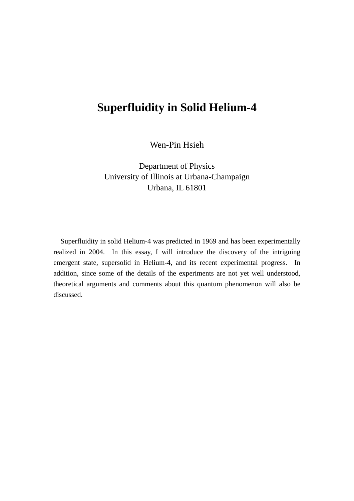# **Superfluidity in Solid Helium-4**

Wen-Pin Hsieh

Department of Physics University of Illinois at Urbana-Champaign Urbana, IL 61801

Superfluidity in solid Helium-4 was predicted in 1969 and has been experimentally realized in 2004. In this essay, I will introduce the discovery of the intriguing emergent state, supersolid in Helium-4, and its recent experimental progress. In addition, since some of the details of the experiments are not yet well understood, theoretical arguments and comments about this quantum phenomenon will also be discussed.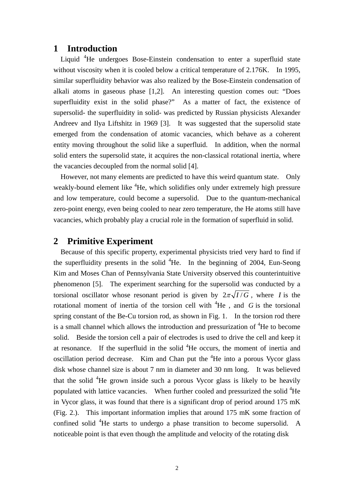#### **1 Introduction**

Liquid <sup>4</sup>He undergoes Bose-Einstein condensation to enter a superfluid state without viscosity when it is cooled below a critical temperature of 2.176K. In 1995, similar superfluidity behavior was also realized by the Bose-Einstein condensation of alkali atoms in gaseous phase [1,2]. An interesting question comes out: "Does superfluidity exist in the solid phase?" As a matter of fact, the existence of supersolid- the superfluidity in solid- was predicted by Russian physicists Alexander Andreev and Ilya Liftshitz in 1969 [3]. It was suggested that the supersolid state emerged from the condensation of atomic vacancies, which behave as a coherent entity moving throughout the solid like a superfluid. In addition, when the normal solid enters the supersolid state, it acquires the non-classical rotational inertia, where the vacancies decoupled from the normal solid [4].

However, not many elements are predicted to have this weird quantum state. Only weakly-bound element like <sup>4</sup>He, which solidifies only under extremely high pressure and low temperature, could become a supersolid. Due to the quantum-mechanical zero-point energy, even being cooled to near zero temperature, the He atoms still have vacancies, which probably play a crucial role in the formation of superfluid in solid.

### **2 Primitive Experiment**

Because of this specific property, experimental physicists tried very hard to find if the superfluidity presents in the solid  ${}^{4}$ He. In the beginning of 2004, Eun-Seong Kim and Moses Chan of Pennsylvania State University observed this counterintuitive phenomenon [5]. The experiment searching for the supersolid was conducted by a torsional oscillator whose resonant period is given by  $2\pi\sqrt{I/G}$ , where *I* is the rotational moment of inertia of the torsion cell with  ${}^{4}$ He, and G is the torsional spring constant of the Be-Cu torsion rod, as shown in Fig. 1. In the torsion rod there is a small channel which allows the introduction and pressurization of <sup>4</sup>He to become solid. Beside the torsion cell a pair of electrodes is used to drive the cell and keep it at resonance. If the superfluid in the solid  ${}^{4}$ He occurs, the moment of inertia and oscillation period decrease. Kim and Chan put the  ${}^{4}$ He into a porous Vycor glass disk whose channel size is about 7 nm in diameter and 30 nm long. It was believed that the solid  ${}^{4}$ He grown inside such a porous Vycor glass is likely to be heavily populated with lattice vacancies. When further cooled and pressurized the solid <sup>4</sup>He in Vycor glass, it was found that there is a significant drop of period around 175 mK (Fig. 2.). This important information implies that around 175 mK some fraction of confined solid  ${}^{4}$ He starts to undergo a phase transition to become supersolid. A noticeable point is that even though the amplitude and velocity of the rotating disk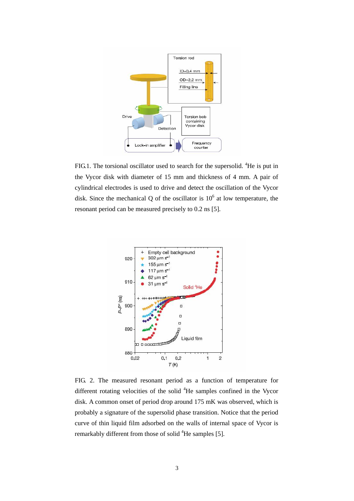

FIG.1. The torsional oscillator used to search for the supersolid.  ${}^{4}$ He is put in the Vycor disk with diameter of 15 mm and thickness of 4 mm. A pair of cylindrical electrodes is used to drive and detect the oscillation of the Vycor disk. Since the mechanical Q of the oscillator is  $10<sup>6</sup>$  at low temperature, the resonant period can be measured precisely to 0.2 ns [5].



FIG. 2. The measured resonant period as a function of temperature for different rotating velocities of the solid <sup>4</sup>He samples confined in the Vycor disk. A common onset of period drop around 175 mK was observed, which is probably a signature of the supersolid phase transition. Notice that the period curve of thin liquid film adsorbed on the walls of internal space of Vycor is remarkably different from those of solid <sup>4</sup>He samples [5].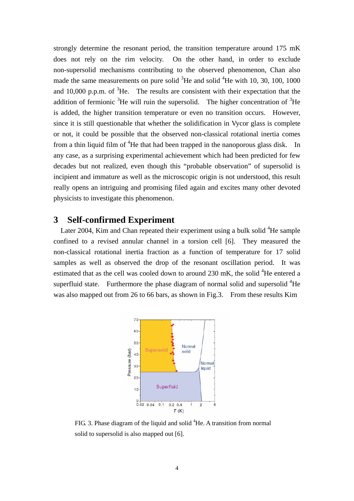strongly determine the resonant period, the transition temperature around 175 mK does not rely on the rim velocity. On the other hand, in order to exclude non-supersolid mechanisms contributing to the observed phenomenon, Chan also made the same measurements on pure solid  ${}^{3}$ He and solid  ${}^{4}$ He with 10, 30, 100, 1000 and 10,000 p.p.m. of  ${}^{3}$ He. The results are consistent with their expectation that the addition of fermionic  ${}^{3}$ He will ruin the supersolid. The higher concentration of  ${}^{3}$ He is added, the higher transition temperature or even no transition occurs. However, since it is still questionable that whether the solidification in Vycor glass is complete or not, it could be possible that the observed non-classical rotational inertia comes from a thin liquid film of  ${}^{4}$ He that had been trapped in the nanoporous glass disk. In any case, as a surprising experimental achievement which had been predicted for few decades but not realized, even though this "probable observation" of supersolid is incipient and immature as well as the microscopic origin is not understood, this result really opens an intriguing and promising filed again and excites many other devoted physicists to investigate this phenomenon.

## **3 Self-confirmed Experiment**

Later 2004, Kim and Chan repeated their experiment using a bulk solid  ${}^{4}$ He sample confined to a revised annular channel in a torsion cell [6]. They measured the non-classical rotational inertia fraction as a function of temperature for 17 solid samples as well as observed the drop of the resonant oscillation period. It was estimated that as the cell was cooled down to around 230 mK, the solid <sup>4</sup>He entered a superfluid state. Furthermore the phase diagram of normal solid and supersolid  ${}^{4}$ He was also mapped out from 26 to 66 bars, as shown in Fig.3. From these results Kim



FIG. 3. Phase diagram of the liquid and solid  ${}^{4}$ He. A transition from normal solid to supersolid is also mapped out [6].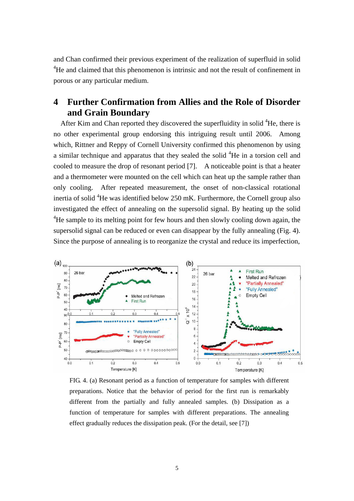and Chan confirmed their previous experiment of the realization of superfluid in solid <sup>4</sup>He and claimed that this phenomenon is intrinsic and not the result of confinement in porous or any particular medium.

# **4 Further Confirmation from Allies and the Role of Disorder and Grain Boundary**

After Kim and Chan reported they discovered the superfluidity in solid  ${}^{4}$ He, there is no other experimental group endorsing this intriguing result until 2006. Among which, Rittner and Reppy of Cornell University confirmed this phenomenon by using a similar technique and apparatus that they sealed the solid  ${}^{4}$ He in a torsion cell and cooled to measure the drop of resonant period [7]. A noticeable point is that a heater and a thermometer were mounted on the cell which can heat up the sample rather than only cooling. After repeated measurement, the onset of non-classical rotational inertia of solid  ${}^{4}$ He was identified below 250 mK. Furthermore, the Cornell group also investigated the effect of annealing on the supersolid signal. By heating up the solid <sup>4</sup>He sample to its melting point for few hours and then slowly cooling down again, the supersolid signal can be reduced or even can disappear by the fully annealing (Fig. 4). Since the purpose of annealing is to reorganize the crystal and reduce its imperfection,



FIG. 4. (a) Resonant period as a function of temperature for samples with different preparations. Notice that the behavior of period for the first run is remarkably different from the partially and fully annealed samples. (b) Dissipation as a function of temperature for samples with different preparations. The annealing effect gradually reduces the dissipation peak. (For the detail, see [7])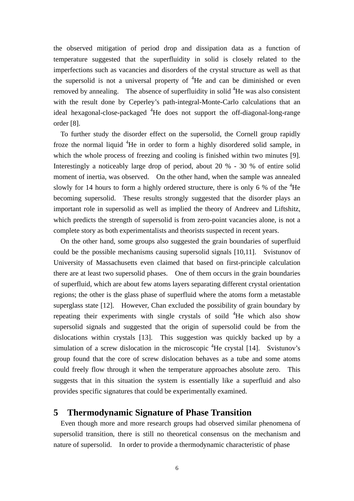the observed mitigation of period drop and dissipation data as a function of temperature suggested that the superfluidity in solid is closely related to the imperfections such as vacancies and disorders of the crystal structure as well as that the supersolid is not a universal property of  ${}^{4}$ He and can be diminished or even removed by annealing. The absence of superfluidity in solid  ${}^{4}$ He was also consistent with the result done by Ceperley's path-integral-Monte-Carlo calculations that an ideal hexagonal-close-packaged <sup>4</sup>He does not support the off-diagonal-long-range order [8].

To further study the disorder effect on the supersolid, the Cornell group rapidly froze the normal liquid <sup>4</sup>He in order to form a highly disordered solid sample, in which the whole process of freezing and cooling is finished within two minutes [9]. Interestingly a noticeably large drop of period, about 20 % - 30 % of entire solid moment of inertia, was observed. On the other hand, when the sample was annealed slowly for 14 hours to form a highly ordered structure, there is only 6 % of the  ${}^{4}$ He becoming supersolid. These results strongly suggested that the disorder plays an important role in supersolid as well as implied the theory of Andreev and Liftshitz, which predicts the strength of supersolid is from zero-point vacancies alone, is not a complete story as both experimentalists and theorists suspected in recent years.

On the other hand, some groups also suggested the grain boundaries of superfluid could be the possible mechanisms causing supersolid signals [10,11]. Svistunov of University of Massachusetts even claimed that based on first-principle calculation there are at least two supersolid phases. One of them occurs in the grain boundaries of superfluid, which are about few atoms layers separating different crystal orientation regions; the other is the glass phase of superfluid where the atoms form a metastable superglass state [12]. However, Chan excluded the possibility of grain boundary by repeating their experiments with single crystals of soild <sup>4</sup>He which also show supersolid signals and suggested that the origin of supersolid could be from the dislocations within crystals [13]. This suggestion was quickly backed up by a simulation of a screw dislocation in the microscopic  ${}^{4}$ He crystal [14]. Svistunov's group found that the core of screw dislocation behaves as a tube and some atoms could freely flow through it when the temperature approaches absolute zero. This suggests that in this situation the system is essentially like a superfluid and also provides specific signatures that could be experimentally examined.

### **5 Thermodynamic Signature of Phase Transition**

Even though more and more research groups had observed similar phenomena of supersolid transition, there is still no theoretical consensus on the mechanism and nature of supersolid. In order to provide a thermodynamic characteristic of phase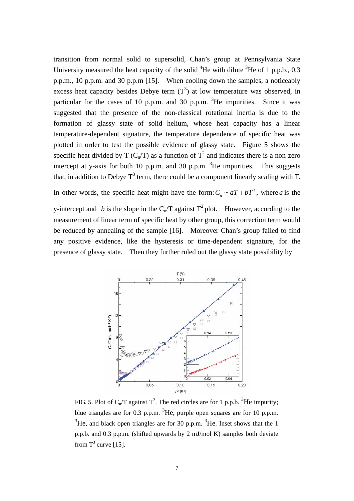transition from normal solid to supersolid, Chan's group at Pennsylvania State University measured the heat capacity of the solid  ${}^{4}$ He with dilute  ${}^{3}$ He of 1 p.p.b., 0.3 p.p.m., 10 p.p.m. and 30 p.p.m [15]. When cooling down the samples, a noticeably excess heat capacity besides Debye term  $(T^3)$  at low temperature was observed, in particular for the cases of 10 p.p.m. and 30 p.p.m.  ${}^{3}$ He impurities. Since it was suggested that the presence of the non-classical rotational inertia is due to the formation of glassy state of solid helium, whose heat capacity has a linear temperature-dependent signature, the temperature dependence of specific heat was plotted in order to test the possible evidence of glassy state. Figure 5 shows the specific heat divided by T ( $C_n/T$ ) as a function of  $T^2$  and indicates there is a non-zero intercept at y-axis for both 10 p.p.m. and 30 p.p.m.  ${}^{3}$ He impurities. This suggests that, in addition to Debye  $T^3$  term, there could be a component linearly scaling with T.

In other words, the specific heat might have the form:  $C_n \sim aT + bT^3$ , where *a* is the

y-intercept and b is the slope in the C<sub>n</sub>/T against  $T^2$  plot. However, according to the measurement of linear term of specific heat by other group, this correction term would be reduced by annealing of the sample [16]. Moreover Chan's group failed to find any positive evidence, like the hysteresis or time-dependent signature, for the presence of glassy state. Then they further ruled out the glassy state possibility by



FIG. 5. Plot of  $C_n/T$  against  $T^2$ . The red circles are for 1 p.p.b. <sup>3</sup>He impurity; blue triangles are for 0.3 p.p.m.  ${}^{3}$ He, purple open squares are for 10 p.p.m.  $3^3$ He, and black open triangles are for 30 p.p.m.  $3^3$ He. Inset shows that the 1 p.p.b. and 0.3 p.p.m. (shifted upwards by 2 mJ/mol K) samples both deviate from  $T^3$  curve [15].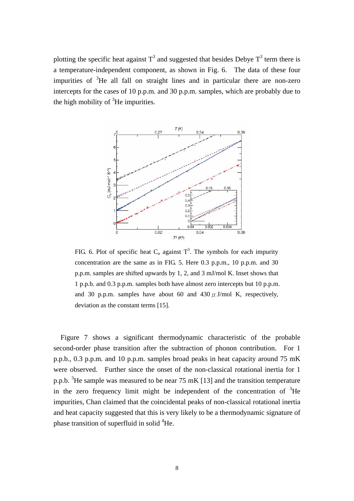plotting the specific heat against  $T^3$  and suggested that besides Debye  $T^3$  term there is a temperature-independent component, as shown in Fig. 6. The data of these four impurities of  ${}^{3}$ He all fall on straight lines and in particular there are non-zero intercepts for the cases of 10 p.p.m. and 30 p.p.m. samples, which are probably due to the high mobility of  ${}^{3}$ He impurities.



FIG. 6. Plot of specific heat  $C_n$  against  $T^3$ . The symbols for each impurity concentration are the same as in FIG. 5. Here 0.3 p.p.m., 10 p.p.m. and 30 p.p.m. samples are shifted upwards by 1, 2, and 3 mJ/mol K. Inset shows that 1 p.p.b. and 0.3 p.p.m. samples both have almost zero intercepts but 10 p.p.m. and 30 p.p.m. samples have about 60 and 430  $\mu$  J/mol K, respectively, deviation as the constant terms [15].

Figure 7 shows a significant thermodynamic characteristic of the probable second-order phase transition after the subtraction of phonon contribution. For 1 p.p.b., 0.3 p.p.m. and 10 p.p.m. samples broad peaks in heat capacity around 75 mK were observed. Further since the onset of the non-classical rotational inertia for 1 p.p.b.  ${}^{3}$ He sample was measured to be near 75 mK [13] and the transition temperature in the zero frequency limit might be independent of the concentration of  ${}^{3}$ He impurities, Chan claimed that the coincidental peaks of non-classical rotational inertia and heat capacity suggested that this is very likely to be a thermodynamic signature of phase transition of superfluid in solid <sup>4</sup>He.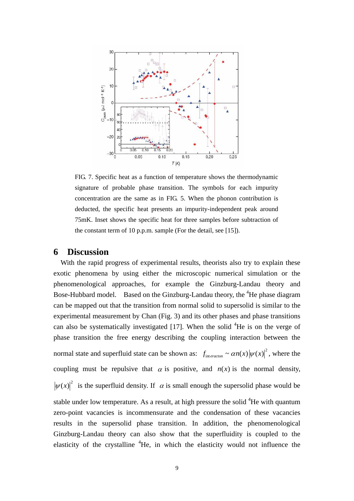

FIG. 7. Specific heat as a function of temperature shows the thermodynamic signature of probable phase transition. The symbols for each impurity concentration are the same as in FIG. 5. When the phonon contribution is deducted, the specific heat presents an impurity-independent peak around 75mK. Inset shows the specific heat for three samples before subtraction of the constant term of 10 p.p.m. sample (For the detail, see [15]).

### **6 Discussion**

With the rapid progress of experimental results, theorists also try to explain these exotic phenomena by using either the microscopic numerical simulation or the phenomenological approaches, for example the Ginzburg-Landau theory and Bose-Hubbard model. Based on the Ginzburg-Landau theory, the <sup>4</sup>He phase diagram can be mapped out that the transition from normal solid to supersolid is similar to the experimental measurement by Chan (Fig. 3) and its other phases and phase transitions can also be systematically investigated  $[17]$ . When the solid  ${}^{4}$ He is on the verge of phase transition the free energy describing the coupling interaction between the normal state and superfluid state can be shown as:  $f_{interaction} \sim \alpha n(x) |\psi(x)|^2$ , where the coupling must be repulsive that  $\alpha$  is positive, and  $n(x)$  is the normal density,  $|\psi(x)|^2$  is the superfluid density. If  $\alpha$  is small enough the supersolid phase would be stable under low temperature. As a result, at high pressure the solid  ${}^{4}$ He with quantum zero-point vacancies is incommensurate and the condensation of these vacancies results in the supersolid phase transition. In addition, the phenomenological Ginzburg-Landau theory can also show that the superfluidity is coupled to the elasticity of the crystalline  ${}^{4}$ He, in which the elasticity would not influence the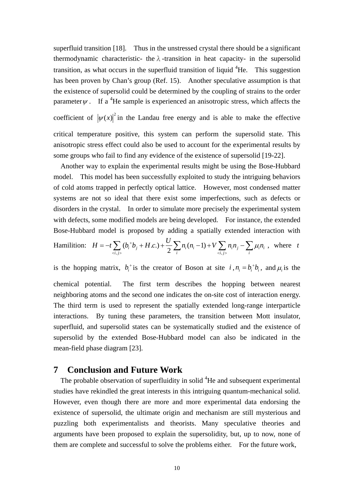superfluid transition [18]. Thus in the unstressed crystal there should be a significant thermodynamic characteristic- the  $\lambda$ -transition in heat capacity- in the supersolid transition, as what occurs in the superfluid transition of liquid  ${}^{4}$ He. This suggestion has been proven by Chan's group (Ref. 15). Another speculative assumption is that the existence of supersolid could be determined by the coupling of strains to the order parameter  $\psi$ . If a <sup>4</sup>He sample is experienced an anisotropic stress, which affects the

coefficient of  $|\psi(x)|^2$  in the Landau free energy and is able to make the effective critical temperature positive, this system can perform the supersolid state. This anisotropic stress effect could also be used to account for the experimental results by some groups who fail to find any evidence of the existence of supersolid [19-22].

Another way to explain the experimental results might be using the Bose-Hubbard model. This model has been successfully exploited to study the intriguing behaviors of cold atoms trapped in perfectly optical lattice. However, most condensed matter systems are not so ideal that there exist some imperfections, such as defects or disorders in the crystal. In order to simulate more precisely the experimental system with defects, some modified models are being developed. For instance, the extended Bose-Hubbard model is proposed by adding a spatially extended interaction with

Hamilton: 
$$
H = -t \sum_{\langle i,j \rangle} (b_i^* b_j + H.c.) + \frac{U}{2} \sum_i n_i (n_i - 1) + V \sum_{\langle i,j \rangle} n_i n_j - \sum_i \mu_i n_i
$$
, where  $t$ 

is the hopping matrix,  $b_i^{\dagger}$  is the creator of Boson at site  $i, n_i = b_i^{\dagger} b_i$ , and  $\mu_i$  is the chemical potential. The first term describes the hopping between nearest neighboring atoms and the second one indicates the on-site cost of interaction energy. The third term is used to represent the spatially extended long-range interparticle interactions. By tuning these parameters, the transition between Mott insulator, superfluid, and supersolid states can be systematically studied and the existence of supersolid by the extended Bose-Hubbard model can also be indicated in the mean-field phase diagram [23].

# **7 Conclusion and Future Work**

The probable observation of superfluidity in solid <sup>4</sup>He and subsequent experimental studies have rekindled the great interests in this intriguing quantum-mechanical solid. However, even though there are more and more experimental data endorsing the existence of supersolid, the ultimate origin and mechanism are still mysterious and puzzling both experimentalists and theorists. Many speculative theories and arguments have been proposed to explain the supersolidity, but, up to now, none of them are complete and successful to solve the problems either. For the future work,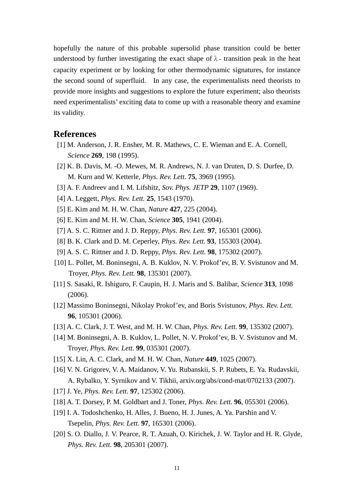hopefully the nature of this probable supersolid phase transition could be better understood by further investigating the exact shape of  $\lambda$  - transition peak in the heat capacity experiment or by looking for other thermodynamic signatures, for instance the second sound of superfluid. In any case, the experimentalists need theorists to provide more insights and suggestions to explore the future experiment; also theorists need experimentalists' exciting data to come up with a reasonable theory and examine its validity.

# **References**

- [1] M. Anderson, J. R. Ensher, M. R. Mathews, C. E. Wieman and E. A. Cornell, *Science* **269**, 198 (1995).
- [2] K. B. Davis, M. -O. Mewes, M. R. Andrews, N. J. van Druten, D. S. Durfee, D. M. Kurn and W. Ketterle, *Phys. Rev. Lett.* **75**, 3969 (1995).
- [3] A. F. Andreev and I. M. Lifshitz, *Sov. Phys. JETP* **29**, 1107 (1969).
- [4] A. Leggett, *Phys. Rev. Lett.* **25**, 1543 (1970).
- [5] E. Kim and M. H. W. Chan, *Nature* **427**, 225 (2004).
- [6] E. Kim and M. H. W. Chan, *Science* **305**, 1941 (2004).
- [7] A. S. C. Rittner and J. D. Reppy, *Phys. Rev. Lett.* **97**, 165301 (2006).
- [8] B. K. Clark and D. M. Ceperley, *Phys. Rev. Lett.* **93**, 155303 (2004).
- [9] A. S. C. Rittner and J. D. Reppy, *Phys. Rev. Lett.* **98**, 175302 (2007).
- [10] L. Pollet, M. Boninsegni, A. B. Kuklov, N. V. Prokof'ev, B. V. Svistunov and M. Troyer, *Phys. Rev. Lett.* **98**, 135301 (2007).
- [11] S. Sasaki, R. Ishiguro, F. Caupin, H. J. Maris and S. Balibar, *Science* **313**, 1098 (2006).
- [12] Massimo Boninsegni, Nikolay Prokof'ev, and Boris Svistunov, *Phys. Rev. Lett.* **96**, 105301 (2006).
- [13] A. C. Clark, J. T. West, and M. H. W. Chan, *Phys. Rev. Lett.* **99**, 135302 (2007).
- [14] M. Boninsegni, A. B. Kuklov, L. Pollet, N. V. Prokof'ev, B. V. Svistunov and M. Troyer, *Phys. Rev. Lett.* **99**, 035301 (2007).
- [15] X. Lin, A. C. Clark, and M. H. W. Chan, *Nature* **449**, 1025 (2007).
- [16] V. N. Grigorev, V. A. Maidanov, V. Yu. Rubanskii, S. P. Rubets, E. Ya. Rudavskii, A. Rybalko, Y. Syrnikov and V. Tikhii, arxiv.org/abs/cond-mat/0702133 (2007).
- [17] J. Ye, *Phys. Rev. Lett.* **97**, 125302 (2006).
- [18] A. T. Dorsey, P. M. Goldbart and J. Toner, *Phys. Rev. Lett.* **96**, 055301 (2006).
- [19] I. A. Todoshchenko, H. Alles, J. Bueno, H. J. Junes, A. Ya. Parshin and V. Tsepelin, *Phys. Rev. Lett.* **97**, 165301 (2006).
- [20] S. O. Diallo, J. V. Pearce, R. T. Azuah, O. Kirichek, J. W. Taylor and H. R. Glyde, *Phys. Rev. Lett.* **98**, 205301 (2007).